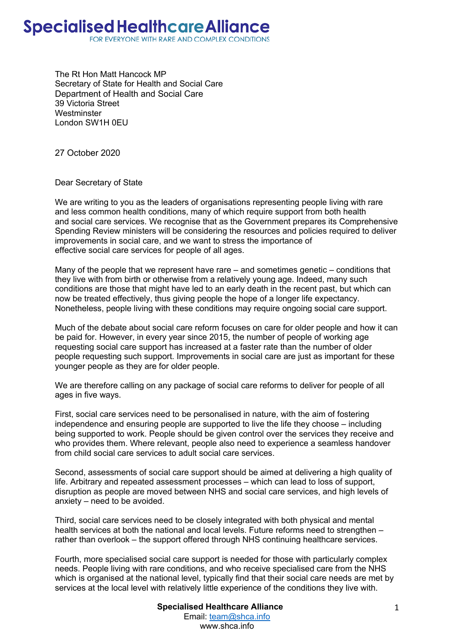The Rt Hon Matt Hancock MP Secretary of State for Health and Social Care Department of Health and Social Care 39 Victoria Street **Westminster** London SW1H 0EU

27 October 2020

Dear Secretary of State

We are writing to you as the leaders of organisations representing people living with rare and less common health conditions, many of which require support from both health and social care services. We recognise that as the Government prepares its Comprehensive Spending Review ministers will be considering the resources and policies required to deliver improvements in social care, and we want to stress the importance of effective social care services for people of all ages.

Many of the people that we represent have rare – and sometimes genetic – conditions that they live with from birth or otherwise from a relatively young age. Indeed, many such conditions are those that might have led to an early death in the recent past, but which can now be treated effectively, thus giving people the hope of a longer life expectancy. Nonetheless, people living with these conditions may require ongoing social care support.

Much of the debate about social care reform focuses on care for older people and how it can be paid for. However, in every year since 2015, the number of people of working age requesting social care support has increased at a faster rate than the number of older people requesting such support. Improvements in social care are just as important for these younger people as they are for older people.

We are therefore calling on any package of social care reforms to deliver for people of all ages in five ways.

First, social care services need to be personalised in nature, with the aim of fostering independence and ensuring people are supported to live the life they choose – including being supported to work. People should be given control over the services they receive and who provides them. Where relevant, people also need to experience a seamless handover from child social care services to adult social care services.

Second, assessments of social care support should be aimed at delivering a high quality of life. Arbitrary and repeated assessment processes – which can lead to loss of support, disruption as people are moved between NHS and social care services, and high levels of anxiety – need to be avoided.

Third, social care services need to be closely integrated with both physical and mental health services at both the national and local levels. Future reforms need to strengthen – rather than overlook – the support offered through NHS continuing healthcare services.

Fourth, more specialised social care support is needed for those with particularly complex needs. People living with rare conditions, and who receive specialised care from the NHS which is organised at the national level, typically find that their social care needs are met by services at the local level with relatively little experience of the conditions they live with.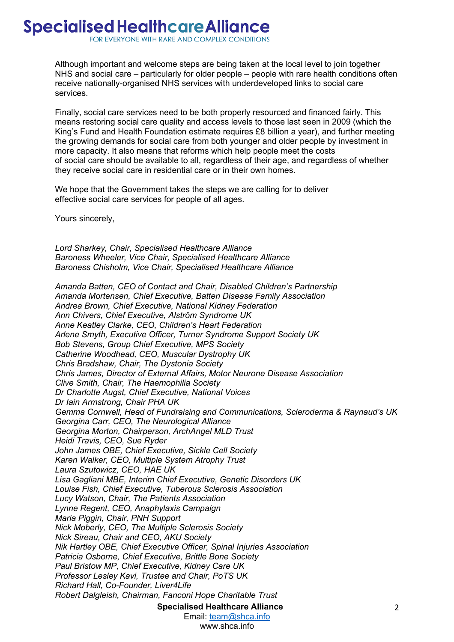Although important and welcome steps are being taken at the local level to join together NHS and social care – particularly for older people – people with rare health conditions often receive nationally-organised NHS services with underdeveloped links to social care services.

Finally, social care services need to be both properly resourced and financed fairly. This means restoring social care quality and access levels to those last seen in 2009 (which the King's Fund and Health Foundation estimate requires £8 billion a year), and further meeting the growing demands for social care from both younger and older people by investment in more capacity. It also means that reforms which help people meet the costs of social care should be available to all, regardless of their age, and regardless of whether they receive social care in residential care or in their own homes.

We hope that the Government takes the steps we are calling for to deliver effective social care services for people of all ages.

Yours sincerely,

*Lord Sharkey, Chair, Specialised Healthcare Alliance Baroness Wheeler, Vice Chair, Specialised Healthcare Alliance Baroness Chisholm, Vice Chair, Specialised Healthcare Alliance*

*Amanda Batten, CEO of Contact and Chair, Disabled Children's Partnership Amanda Mortensen, Chief Executive, Batten Disease Family Association Andrea Brown, Chief Executive, National Kidney Federation Ann Chivers, Chief Executive, Alström Syndrome UK Anne Keatley Clarke, CEO, Children's Heart Federation Arlene Smyth, Executive Officer, Turner Syndrome Support Society UK Bob Stevens, Group Chief Executive, MPS Society Catherine Woodhead, CEO, Muscular Dystrophy UK Chris Bradshaw, Chair, The Dystonia Society Chris James, Director of External Affairs, Motor Neurone Disease Association Clive Smith, Chair, The Haemophilia Society Dr Charlotte Augst, Chief Executive, National Voices Dr Iain Armstrong, Chair PHA UK Gemma Cornwell, Head of Fundraising and Communications, Scleroderma & Raynaud's UK Georgina Carr, CEO, The Neurological Alliance Georgina Morton, Chairperson, ArchAngel MLD Trust Heidi Travis, CEO, Sue Ryder John James OBE, Chief Executive, Sickle Cell Society Karen Walker, CEO, Multiple System Atrophy Trust Laura Szutowicz, CEO, HAE UK Lisa Gagliani MBE, Interim Chief Executive, Genetic Disorders UK Louise Fish, Chief Executive, Tuberous Sclerosis Association Lucy Watson, Chair, The Patients Association Lynne Regent, CEO, Anaphylaxis Campaign Maria Piggin, Chair, PNH Support Nick Moberly, CEO, The Multiple Sclerosis Society Nick Sireau, Chair and CEO, AKU Society Nik Hartley OBE, Chief Executive Officer, Spinal Injuries Association Patricia Osborne, Chief Executive, Brittle Bone Society Paul Bristow MP, Chief Executive, Kidney Care UK Professor Lesley Kavi, Trustee and Chair, PoTS UK Richard Hall, Co-Founder, Liver4Life Robert Dalgleish, Chairman, Fanconi Hope Charitable Trust*

**Specialised Healthcare Alliance**

Email: team@shca.info www.shca.info